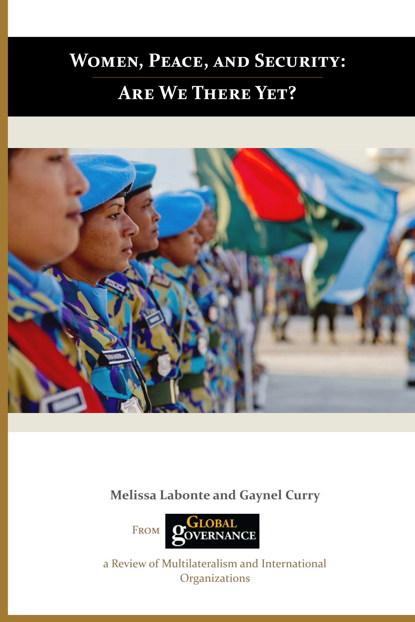# **Women, Peace, and Security: Are We There Yet?**



**Melissa Labonte and Gaynel Curry**

FROM



a Review of Multilateralism and International **Organizations**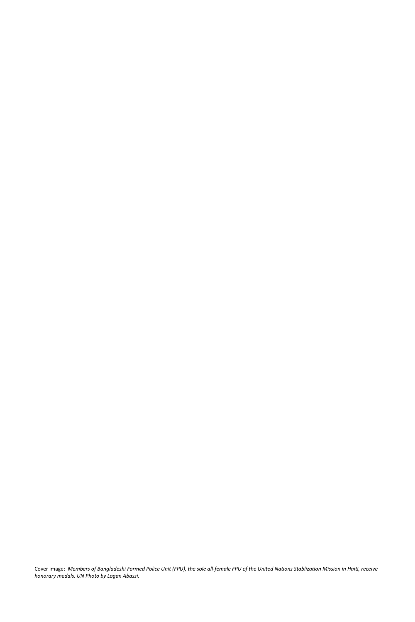Cover image: *Members of Bangladeshi Formed Police Unit (FPU), the sole all-female FPU of the United Nations Stablization Mission in Haiti, receive honorary medals. UN Photo by Logan Abassi.*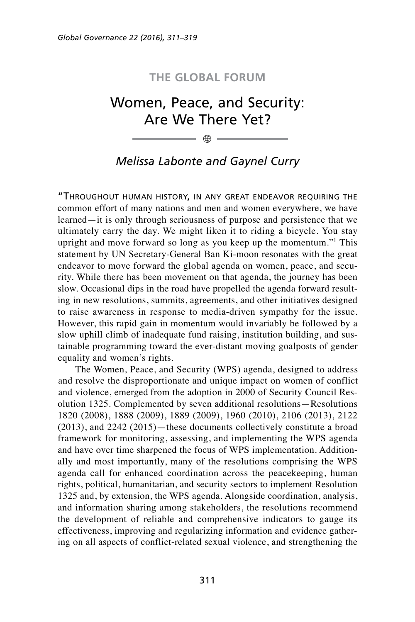#### **THE GLOBAL FORUM**

## Women, Peace, and Security: Are We There Yet?

⊕

### *Melissa Labonte and Gaynel Curry*

"THROUGHOUT HUMAN HISTORY, IN ANY GREAT ENDEAVOR REQUIRING THE common effort of many nations and men and women everywhere, we have learned—it is only through seriousness of purpose and persistence that we ultimately carry the day. We might liken it to riding a bicycle. You stay upright and move forward so long as you keep up the momentum."<sup>1</sup> This statement by UN Secretary-General Ban Ki-moon resonates with the great endeavor to move forward the global agenda on women, peace, and security. While there has been movement on that agenda, the journey has been slow. Occasional dips in the road have propelled the agenda forward resulting in new resolutions, summits, agreements, and other initiatives designed to raise awareness in response to media-driven sympathy for the issue. However, this rapid gain in momentum would invariably be followed by a slow uphill climb of inadequate fund raising, institution building, and sustainable programming toward the ever-distant moving goalposts of gender equality and women's rights.

The Women, Peace, and Security (WPS) agenda, designed to address and resolve the disproportionate and unique impact on women of conflict and violence, emerged from the adoption in 2000 of Security Council Resolution 1325. Complemented by seven additional resolutions—Resolutions 1820 (2008), 1888 (2009), 1889 (2009), 1960 (2010), 2106 (2013), 2122 (2013), and 2242 (2015)—these documents collectively constitute a broad framework for monitoring, assessing, and implementing the WPS agenda and have over time sharpened the focus of WPS implementation. Additionally and most importantly, many of the resolutions comprising the WPS agenda call for enhanced coordination across the peacekeeping, human rights, political, humanitarian, and security sectors to implement Resolution 1325 and, by extension, the WPS agenda. Alongside coordination, analysis, and information sharing among stakeholders, the resolutions recommend the development of reliable and comprehensive indicators to gauge its effectiveness, improving and regularizing information and evidence gathering on all aspects of conflict-related sexual violence, and strengthening the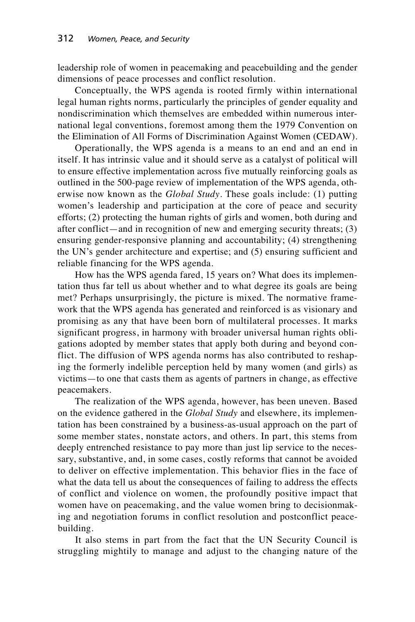leadership role of women in peacemaking and peacebuilding and the gender dimensions of peace processes and conflict resolution.

Conceptually, the WPS agenda is rooted firmly within international legal human rights norms, particularly the principles of gender equality and nondiscrimination which themselves are embedded within numerous international legal conventions, foremost among them the 1979 Convention on the Elimination of All Forms of Discrimination Against Women (CEDAW).

Operationally, the WPS agenda is a means to an end and an end in itself. It has intrinsic value and it should serve as a catalyst of political will to ensure effective implementation across five mutually reinforcing goals as outlined in the 500-page review of implementation of the WPS agenda, otherwise now known as the *Global Study*. These goals include: (1) putting women's leadership and participation at the core of peace and security efforts; (2) protecting the human rights of girls and women, both during and after conflict—and in recognition of new and emerging security threats; (3) ensuring gender-responsive planning and accountability; (4) strengthening the UN's gender architecture and expertise; and (5) ensuring sufficient and reliable financing for the WPS agenda.

How has the WPS agenda fared, 15 years on? What does its implementation thus far tell us about whether and to what degree its goals are being met? Perhaps unsurprisingly, the picture is mixed. The normative framework that the WPS agenda has generated and reinforced is as visionary and promising as any that have been born of multilateral processes. It marks significant progress, in harmony with broader universal human rights obligations adopted by member states that apply both during and beyond conflict. The diffusion of WPS agenda norms has also contributed to reshaping the formerly indelible perception held by many women (and girls) as victims—to one that casts them as agents of partners in change, as effective peacemakers.

The realization of the WPS agenda, however, has been uneven. Based on the evidence gathered in the *Global Study* and elsewhere, its implementation has been constrained by a business-as-usual approach on the part of some member states, nonstate actors, and others. In part, this stems from deeply entrenched resistance to pay more than just lip service to the necessary, substantive, and, in some cases, costly reforms that cannot be avoided to deliver on effective implementation. This behavior flies in the face of what the data tell us about the consequences of failing to address the effects of conflict and violence on women, the profoundly positive impact that women have on peacemaking, and the value women bring to decisionmaking and negotiation forums in conflict resolution and postconflict peacebuilding.

It also stems in part from the fact that the UN Security Council is struggling mightily to manage and adjust to the changing nature of the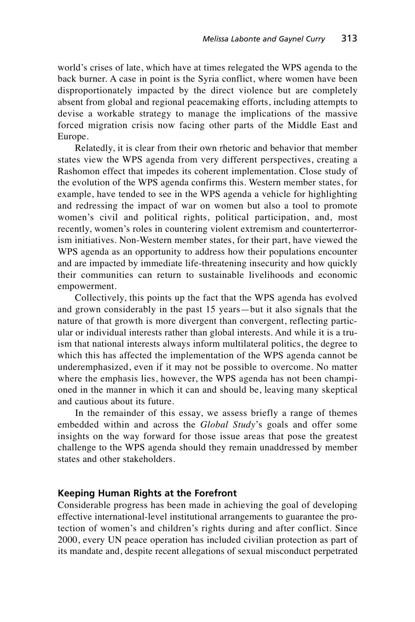world's crises of late, which have at times relegated the WPS agenda to the back burner. A case in point is the Syria conflict, where women have been disproportionately impacted by the direct violence but are completely absent from global and regional peacemaking efforts, including attempts to devise a workable strategy to manage the implications of the massive forced migration crisis now facing other parts of the Middle East and Europe.

Relatedly, it is clear from their own rhetoric and behavior that member states view the WPS agenda from very different perspectives, creating a Rashomon effect that impedes its coherent implementation. Close study of the evolution of the WPS agenda confirms this. Western member states, for example, have tended to see in the WPS agenda a vehicle for highlighting and redressing the impact of war on women but also a tool to promote women's civil and political rights, political participation, and, most recently, women's roles in countering violent extremism and counterterrorism initiatives. Non-Western member states, for their part, have viewed the WPS agenda as an opportunity to address how their populations encounter and are impacted by immediate life-threatening insecurity and how quickly their communities can return to sustainable livelihoods and economic empowerment.

Collectively, this points up the fact that the WPS agenda has evolved and grown considerably in the past 15 years—but it also signals that the nature of that growth is more divergent than convergent, reflecting particular or individual interests rather than global interests. And while it is a truism that national interests always inform multilateral politics, the degree to which this has affected the implementation of the WPS agenda cannot be underemphasized, even if it may not be possible to overcome. No matter where the emphasis lies, however, the WPS agenda has not been championed in the manner in which it can and should be, leaving many skeptical and cautious about its future.

In the remainder of this essay, we assess briefly a range of themes embedded within and across the *Global Study*'s goals and offer some insights on the way forward for those issue areas that pose the greatest challenge to the WPS agenda should they remain unaddressed by member states and other stakeholders.

#### **Keeping Human Rights at the Forefront**

Considerable progress has been made in achieving the goal of developing effective international-level institutional arrangements to guarantee the protection of women's and children's rights during and after conflict. Since 2000, every UN peace operation has included civilian protection as part of its mandate and, despite recent allegations of sexual misconduct perpetrated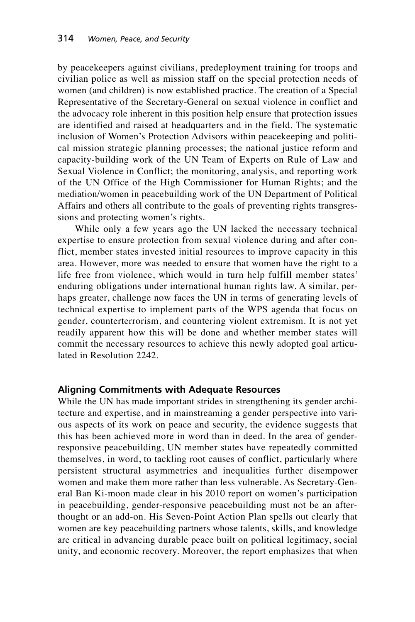by peacekeepers against civilians, predeployment training for troops and civilian police as well as mission staff on the special protection needs of women (and children) is now established practice. The creation of a Special Representative of the Secretary-General on sexual violence in conflict and the advocacy role inherent in this position help ensure that protection issues are identified and raised at headquarters and in the field. The systematic inclusion of Women's Protection Advisors within peacekeeping and political mission strategic planning processes; the national justice reform and capacity-building work of the UN Team of Experts on Rule of Law and Sexual Violence in Conflict; the monitoring, analysis, and reporting work of the UN Office of the High Commissioner for Human Rights; and the mediation/women in peacebuilding work of the UN Department of Political Affairs and others all contribute to the goals of preventing rights transgressions and protecting women's rights.

While only a few years ago the UN lacked the necessary technical expertise to ensure protection from sexual violence during and after conflict, member states invested initial resources to improve capacity in this area. However, more was needed to ensure that women have the right to a life free from violence, which would in turn help fulfill member states' enduring obligations under international human rights law. A similar, perhaps greater, challenge now faces the UN in terms of generating levels of technical expertise to implement parts of the WPS agenda that focus on gender, counterterrorism, and countering violent extremism. It is not yet readily apparent how this will be done and whether member states will commit the necessary resources to achieve this newly adopted goal articulated in Resolution 2242.

#### **Aligning Commitments with Adequate Resources**

While the UN has made important strides in strengthening its gender architecture and expertise, and in mainstreaming a gender perspective into various aspects of its work on peace and security, the evidence suggests that this has been achieved more in word than in deed. In the area of genderresponsive peacebuilding, UN member states have repeatedly committed themselves, in word, to tackling root causes of conflict, particularly where persistent structural asymmetries and inequalities further disempower women and make them more rather than less vulnerable. As Secretary-General Ban Ki-moon made clear in his 2010 report on women's participation in peacebuilding, gender-responsive peacebuilding must not be an afterthought or an add-on. His Seven-Point Action Plan spells out clearly that women are key peacebuilding partners whose talents, skills, and knowledge are critical in advancing durable peace built on political legitimacy, social unity, and economic recovery. Moreover, the report emphasizes that when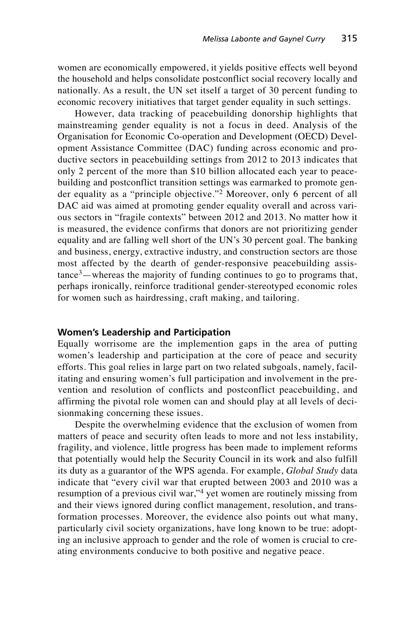women are economically empowered, it yields positive effects well beyond the household and helps consolidate postconflict social recovery locally and nationally. As a result, the UN set itself a target of 30 percent funding to economic recovery initiatives that target gender equality in such settings.

However, data tracking of peacebuilding donorship highlights that mainstreaming gender equality is not a focus in deed. Analysis of the Organisation for Economic Co-operation and Development (OECD) Development Assistance Committee (DAC) funding across economic and productive sectors in peacebuilding settings from 2012 to 2013 indicates that only 2 percent of the more than \$10 billion allocated each year to peacebuilding and postconflict transition settings was earmarked to promote gender equality as a "principle objective."<sup>2</sup> Moreover, only 6 percent of all DAC aid was aimed at promoting gender equality overall and across various sectors in "fragile contexts" between 2012 and 2013. No matter how it is measured, the evidence confirms that donors are not prioritizing gender equality and are falling well short of the UN's 30 percent goal. The banking and business, energy, extractive industry, and construction sectors are those most affected by the dearth of gender-responsive peacebuilding assis $tance<sup>3</sup>$ —whereas the majority of funding continues to go to programs that, perhaps ironically, reinforce traditional gender-stereotyped economic roles for women such as hairdressing, craft making, and tailoring.

#### **Women's Leadership and Participation**

Equally worrisome are the implemention gaps in the area of putting women's leadership and participation at the core of peace and security efforts. This goal relies in large part on two related subgoals, namely, facilitating and ensuring women's full participation and involvement in the prevention and resolution of conflicts and postconflict peacebuilding, and affirming the pivotal role women can and should play at all levels of decisionmaking concerning these issues.

Despite the overwhelming evidence that the exclusion of women from matters of peace and security often leads to more and not less instability, fragility, and violence, little progress has been made to implement reforms that potentially would help the Security Council in its work and also fulfill its duty as a guarantor of the WPS agenda. For example, *Global Study* data indicate that "every civil war that erupted between 2003 and 2010 was a resumption of a previous civil war,"<sup>4</sup> yet women are routinely missing from and their views ignored during conflict management, resolution, and transformation processes. Moreover, the evidence also points out what many, particularly civil society organizations, have long known to be true: adopting an inclusive approach to gender and the role of women is crucial to creating environments conducive to both positive and negative peace.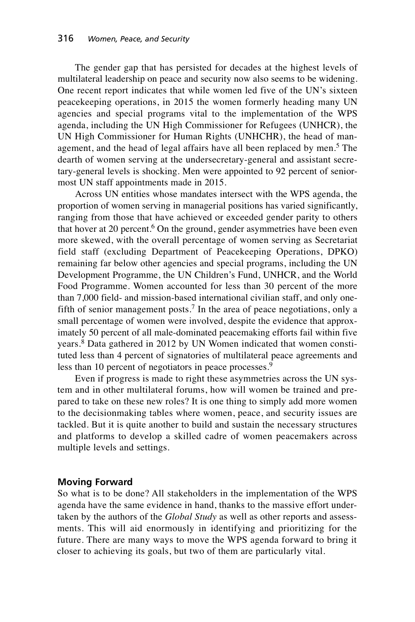The gender gap that has persisted for decades at the highest levels of multilateral leadership on peace and security now also seems to be widening. One recent report indicates that while women led five of the UN's sixteen peacekeeping operations, in 2015 the women formerly heading many UN agencies and special programs vital to the implementation of the WPS agenda, including the UN High Commissioner for Refugees (UNHCR), the UN High Commissioner for Human Rights (UNHCHR), the head of management, and the head of legal affairs have all been replaced by men.<sup>5</sup> The dearth of women serving at the undersecretary-general and assistant secretary-general levels is shocking. Men were appointed to 92 percent of seniormost UN staff appointments made in 2015.

Across UN entities whose mandates intersect with the WPS agenda, the proportion of women serving in managerial positions has varied significantly, ranging from those that have achieved or exceeded gender parity to others that hover at 20 percent.<sup>6</sup> On the ground, gender asymmetries have been even more skewed, with the overall percentage of women serving as Secretariat field staff (excluding Department of Peacekeeping Operations, DPKO) remaining far below other agencies and special programs, including the UN Development Programme, the UN Children's Fund, UNHCR, and the World Food Programme. Women accounted for less than 30 percent of the more than 7,000 field- and mission-based international civilian staff, and only onefifth of senior management posts. <sup>7</sup> In the area of peace negotiations, only a small percentage of women were involved, despite the evidence that approximately 50 percent of all male-dominated peacemaking efforts fail within five years. <sup>8</sup> Data gathered in 2012 by UN Women indicated that women constituted less than 4 percent of signatories of multilateral peace agreements and less than 10 percent of negotiators in peace processes.<sup>9</sup>

Even if progress is made to right these asymmetries across the UN system and in other multilateral forums, how will women be trained and prepared to take on these new roles? It is one thing to simply add more women to the decisionmaking tables where women, peace, and security issues are tackled. But it is quite another to build and sustain the necessary structures and platforms to develop a skilled cadre of women peacemakers across multiple levels and settings.

#### **Moving Forward**

So what is to be done? All stakeholders in the implementation of the WPS agenda have the same evidence in hand, thanks to the massive effort undertaken by the authors of the *Global Study* as well as other reports and assessments. This will aid enormously in identifying and prioritizing for the future. There are many ways to move the WPS agenda forward to bring it closer to achieving its goals, but two of them are particularly vital.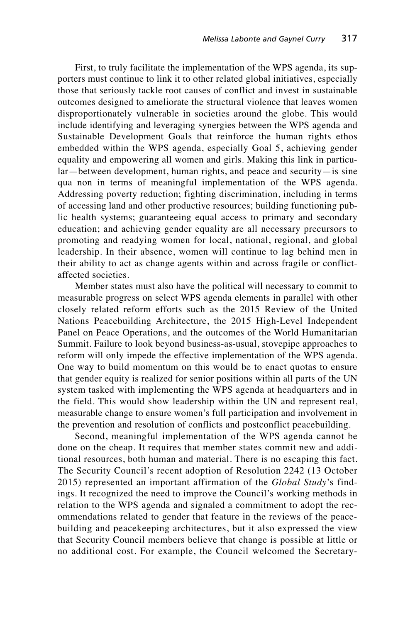First, to truly facilitate the implementation of the WPS agenda, its supporters must continue to link it to other related global initiatives, especially those that seriously tackle root causes of conflict and invest in sustainable outcomes designed to ameliorate the structural violence that leaves women disproportionately vulnerable in societies around the globe. This would include identifying and leveraging synergies between the WPS agenda and Sustainable Development Goals that reinforce the human rights ethos embedded within the WPS agenda, especially Goal 5, achieving gender equality and empowering all women and girls. Making this link in particular—between development, human rights, and peace and security—is sine qua non in terms of meaningful implementation of the WPS agenda. Addressing poverty reduction; fighting discrimination, including in terms of accessing land and other productive resources; building functioning public health systems; guaranteeing equal access to primary and secondary education; and achieving gender equality are all necessary precursors to promoting and readying women for local, national, regional, and global leadership. In their absence, women will continue to lag behind men in their ability to act as change agents within and across fragile or conflictaffected societies.

Member states must also have the political will necessary to commit to measurable progress on select WPS agenda elements in parallel with other closely related reform efforts such as the 2015 Review of the United Nations Peacebuilding Architecture, the 2015 High-Level Independent Panel on Peace Operations, and the outcomes of the World Humanitarian Summit. Failure to look beyond business-as-usual, stovepipe approaches to reform will only impede the effective implementation of the WPS agenda. One way to build momentum on this would be to enact quotas to ensure that gender equity is realized for senior positions within all parts of the UN system tasked with implementing the WPS agenda at headquarters and in the field. This would show leadership within the UN and represent real, measurable change to ensure women's full participation and involvement in the prevention and resolution of conflicts and postconflict peacebuilding.

Second, meaningful implementation of the WPS agenda cannot be done on the cheap. It requires that member states commit new and additional resources, both human and material. There is no escaping this fact. The Security Council's recent adoption of Resolution 2242 (13 October 2015) represented an important affirmation of the *Global Study*'s findings. It recognized the need to improve the Council's working methods in relation to the WPS agenda and signaled a commitment to adopt the recommendations related to gender that feature in the reviews of the peacebuilding and peacekeeping architectures, but it also expressed the view that Security Council members believe that change is possible at little or no additional cost. For example, the Council welcomed the Secretary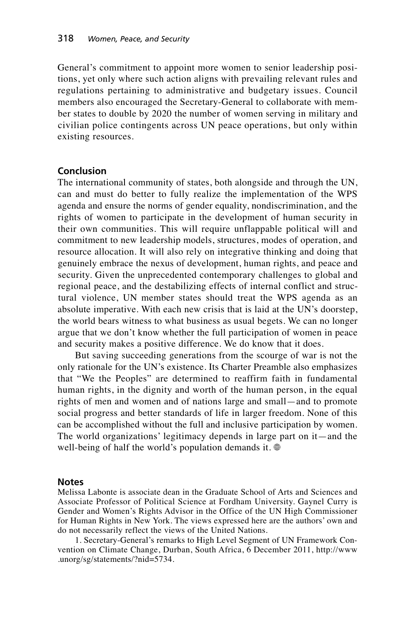General's commitment to appoint more women to senior leadership positions, yet only where such action aligns with prevailing relevant rules and regulations pertaining to administrative and budgetary issues. Council members also encouraged the Secretary-General to collaborate with member states to double by 2020 the number of women serving in military and civilian police contingents across UN peace operations, but only within existing resources.

#### **Conclusion**

The international community of states, both alongside and through the UN, can and must do better to fully realize the implementation of the WPS agenda and ensure the norms of gender equality, nondiscrimination, and the rights of women to participate in the development of human security in their own communities. This will require unflappable political will and commitment to new leadership models, structures, modes of operation, and resource allocation. It will also rely on integrative thinking and doing that genuinely embrace the nexus of development, human rights, and peace and security. Given the unprecedented contemporary challenges to global and regional peace, and the destabilizing effects of internal conflict and structural violence, UN member states should treat the WPS agenda as an absolute imperative. With each new crisis that is laid at the UN's doorstep, the world bears witness to what business as usual begets. We can no longer argue that we don't know whether the full participation of women in peace and security makes a positive difference. We do know that it does.

But saving succeeding generations from the scourge of war is not the only rationale for the UN's existence. Its Charter Preamble also emphasizes that "We the Peoples" are determined to reaffirm faith in fundamental human rights, in the dignity and worth of the human person, in the equal rights of men and women and of nations large and small—and to promote social progress and better standards of life in larger freedom. None of this can be accomplished without the full and inclusive participation by women. The world organizations' legitimacy depends in large part on it—and the well-being of half the world's population demands it.  $\oplus$ 

#### **Notes**

Melissa Labonte is associate dean in the Graduate School of Arts and Sciences and Associate Professor of Political Science at Fordham University. Gaynel Curry is Gender and Women's Rights Advisor in the Office of the UN High Commissioner for Human Rights in New York. The views expressed here are the authors' own and do not necessarily reflect the views of the United Nations.

1. Secretary-General's remarks to High Level Segment of UN Framework Convention on Climate Change, Durban, South Africa, 6 December 2011, http://www .unorg/sg/statements/?nid=5734.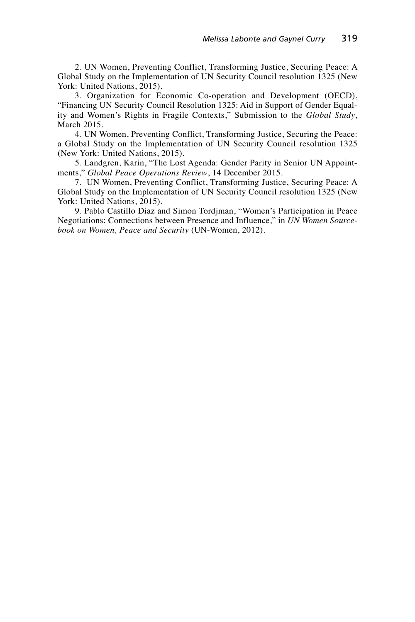2. UN Women, Preventing Conflict, Transforming Justice, Securing Peace: A Global Study on the Implementation of UN Security Council resolution 1325 (New York: United Nations, 2015).

3. Organization for Economic Co-operation and Development (OECD), "Financing UN Security Council Resolution 1325: Aid in Support of Gender Equality and Women's Rights in Fragile Contexts," Submission to the *Global Study*, March 2015.

4. UN Women, Preventing Conflict, Transforming Justice, Securing the Peace: a Global Study on the Implementation of UN Security Council resolution 1325 (New York: United Nations, 2015).

5. Landgren, Karin, "The Lost Agenda: Gender Parity in Senior UN Appointments," *Global Peace Operations Review*, 14 December 2015.

7. UN Women, Preventing Conflict, Transforming Justice, Securing Peace: A Global Study on the Implementation of UN Security Council resolution 1325 (New York: United Nations, 2015).

9. Pablo Castillo Diaz and Simon Tordjman, "Women's Participation in Peace Negotiations: Connections between Presence and Influence," in *UN Women Sourcebook on Women, Peace and Security* (UN-Women, 2012).